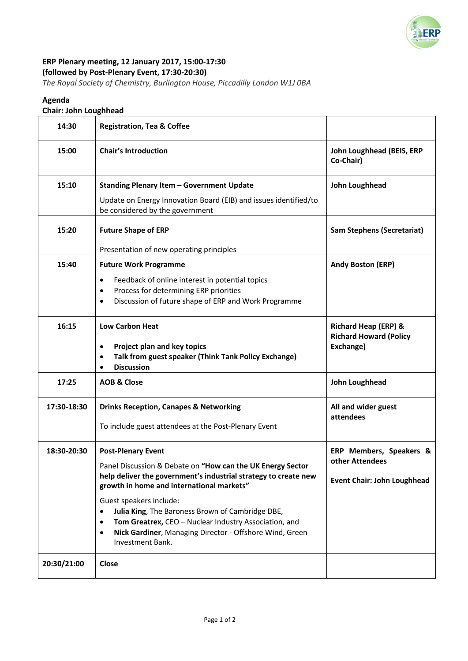

# **ERP Plenary meeting, 12 January 2017, 15:00-17:30 (followed by Post-Plenary Event, 17:30-20:30)**

*The Royal Society of Chemistry, Burlington House, Piccadilly London W1J 0BA*

## **Agenda**

## **Chair: John Loughhead**

| 14:30       | <b>Registration, Tea &amp; Coffee</b>                                                                                                                                                                                                                                                                                                                                                                                                                                 |                                                                                  |
|-------------|-----------------------------------------------------------------------------------------------------------------------------------------------------------------------------------------------------------------------------------------------------------------------------------------------------------------------------------------------------------------------------------------------------------------------------------------------------------------------|----------------------------------------------------------------------------------|
| 15:00       | <b>Chair's Introduction</b>                                                                                                                                                                                                                                                                                                                                                                                                                                           | John Loughhead (BEIS, ERP<br>Co-Chair)                                           |
| 15:10       | <b>Standing Plenary Item - Government Update</b><br>Update on Energy Innovation Board (EIB) and issues identified/to<br>be considered by the government                                                                                                                                                                                                                                                                                                               | John Loughhead                                                                   |
| 15:20       | <b>Future Shape of ERP</b><br>Presentation of new operating principles                                                                                                                                                                                                                                                                                                                                                                                                | <b>Sam Stephens (Secretariat)</b>                                                |
| 15:40       | <b>Future Work Programme</b><br>Feedback of online interest in potential topics<br>$\bullet$<br>Process for determining ERP priorities<br>٠<br>Discussion of future shape of ERP and Work Programme<br>$\bullet$                                                                                                                                                                                                                                                      | <b>Andy Boston (ERP)</b>                                                         |
| 16:15       | <b>Low Carbon Heat</b><br>Project plan and key topics<br>$\bullet$<br>Talk from guest speaker (Think Tank Policy Exchange)<br><b>Discussion</b><br>$\bullet$                                                                                                                                                                                                                                                                                                          | <b>Richard Heap (ERP) &amp;</b><br><b>Richard Howard (Policy</b><br>Exchange)    |
| 17:25       | <b>AOB &amp; Close</b>                                                                                                                                                                                                                                                                                                                                                                                                                                                | John Loughhead                                                                   |
| 17:30-18:30 | <b>Drinks Reception, Canapes &amp; Networking</b><br>To include guest attendees at the Post-Plenary Event                                                                                                                                                                                                                                                                                                                                                             | All and wider guest<br>attendees                                                 |
| 18:30-20:30 | <b>Post-Plenary Event</b><br>Panel Discussion & Debate on "How can the UK Energy Sector<br>help deliver the government's industrial strategy to create new<br>growth in home and international markets"<br>Guest speakers include:<br>Julia King, The Baroness Brown of Cambridge DBE,<br>$\bullet$<br>Tom Greatrex, CEO - Nuclear Industry Association, and<br>$\bullet$<br>Nick Gardiner, Managing Director - Offshore Wind, Green<br>$\bullet$<br>Investment Bank. | ERP Members, Speakers &<br>other Attendees<br><b>Event Chair: John Loughhead</b> |
| 20:30/21:00 | Close                                                                                                                                                                                                                                                                                                                                                                                                                                                                 |                                                                                  |